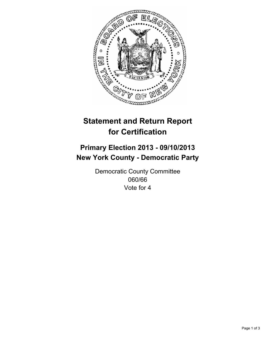

# **Statement and Return Report for Certification**

# **Primary Election 2013 - 09/10/2013 New York County - Democratic Party**

Democratic County Committee 060/66 Vote for 4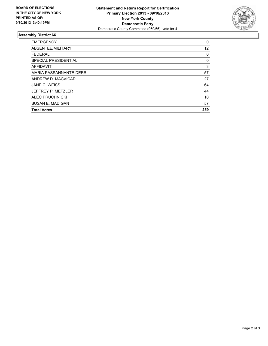

## **Assembly District 66**

| <b>EMERGENCY</b>            | 0   |
|-----------------------------|-----|
| ABSENTEE/MILITARY           | 12  |
| <b>FEDERAL</b>              | 0   |
| <b>SPECIAL PRESIDENTIAL</b> | 0   |
| <b>AFFIDAVIT</b>            | 3   |
| MARIA PASSANNANTE-DERR      | 57  |
| ANDREW D. MACVICAR          | 27  |
| JANE C. WEISS               | 64  |
| JEFFREY P. METZLER          | 44  |
| <b>ALEC PRUCHNICKI</b>      | 10  |
| SUSAN E. MADIGAN            | 57  |
| <b>Total Votes</b>          | 259 |